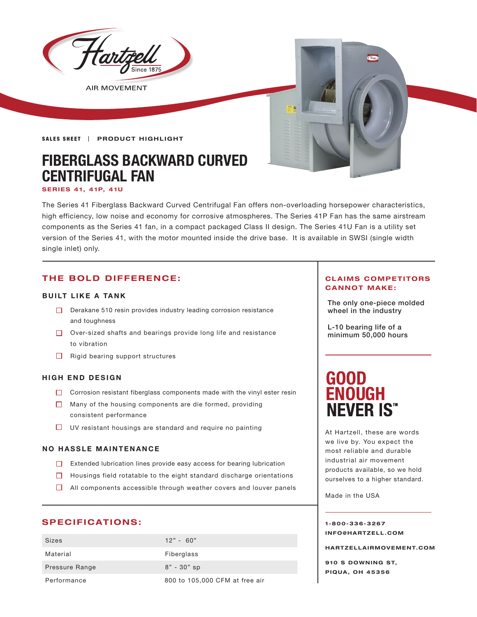

The Series 41 Fiberglass Backward Curved Centrifugal Fan offers non-overloading horsepower characteristics, high efficiency, low noise and economy for corrosive atmospheres. The Series 41P Fan has the same airstream components as the Series 41 fan, in a compact packaged Class II design. The Series 41U Fan is a utility set version of the Series 41, with the motor mounted inside the drive base. It is available in SWSI (single width single inlet) only.

# **THE BOLD DIFFERENCE:**

### **BUILT LIKE A TANK**

- Derakane 510 resin provides industry leading corrosion resistance  $\Box$  wheel in the industry and toughness
- Over-sized shafts and bearings provide long life and resistance to vibration
- $\Box$  Rigid bearing support structures

### **HIGH END DESIGN**

- $\Box$  Corrosion resistant fiberglass components made with the vinyl ester resin
- $\Box$  Many of the housing components are die formed, providing consistent performance
- $\Box$  UV resistant housings are standard and require no painting

### **NO HASSLE MAINTENANCE**

- Extended lubrication lines provide easy access for bearing lubrication
- $\Box$  Housings field rotatable to the eight standard discharge orientations
- $\Box$  All components accessible through weather covers and louver panels

# **SPECIFICATIONS:**

| <b>Sizes</b>   | $12" - 60"$                    |
|----------------|--------------------------------|
| Material       | Fiberglass                     |
| Pressure Range | $8" - 30"$ sp                  |
| Performance    | 800 to 105,000 CFM at free air |

### **CLAIMS COMPETITORS CANNOT MAKE:**

The only one-piece molded

L-10 bearing life of a minimum 50,000 hours

# **GOOD ENOUGH NEVER IS"**

At Hartzell, these are words we live by. You expect the most reliable and durable industrial air movement products available, so we hold ourselves to a higher standard.

Made in the USA

### **1-800-336-3267 I N F O @ H A R T Z E L L . C OM**

**HARTZELLA IRMOVEMENT.COM**

**910 S DOWNING ST, PIQUA, OH 45356**